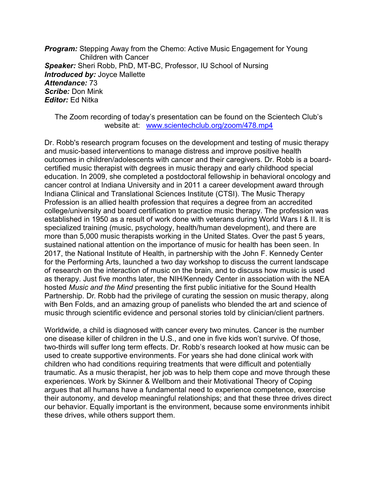**Program:** Stepping Away from the Chemo: Active Music Engagement for Young Children with Cancer Speaker: Sheri Robb, PhD, MT-BC, Professor, IU School of Nursing Introduced by: Joyce Mallette Attendance: 73 Scribe: Don Mink Editor: Ed Nitka

## The Zoom recording of today's presentation can be found on the Scientech Club's website at: www.scientechclub.org/zoom/478.mp4

Dr. Robb's research program focuses on the development and testing of music therapy and music-based interventions to manage distress and improve positive health outcomes in children/adolescents with cancer and their caregivers. Dr. Robb is a boardcertified music therapist with degrees in music therapy and early childhood special education. In 2009, she completed a postdoctoral fellowship in behavioral oncology and cancer control at Indiana University and in 2011 a career development award through Indiana Clinical and Translational Sciences Institute (CTSI). The Music Therapy Profession is an allied health profession that requires a degree from an accredited college/university and board certification to practice music therapy. The profession was established in 1950 as a result of work done with veterans during World Wars I & II. It is specialized training (music, psychology, health/human development), and there are more than 5,000 music therapists working in the United States. Over the past 5 years, sustained national attention on the importance of music for health has been seen. In 2017, the National Institute of Health, in partnership with the John F. Kennedy Center for the Performing Arts, launched a two day workshop to discuss the current landscape of research on the interaction of music on the brain, and to discuss how music is used as therapy. Just five months later, the NIH/Kennedy Center in association with the NEA hosted Music and the Mind presenting the first public initiative for the Sound Health Partnership. Dr. Robb had the privilege of curating the session on music therapy, along with Ben Folds, and an amazing group of panelists who blended the art and science of music through scientific evidence and personal stories told by clinician/client partners.

Worldwide, a child is diagnosed with cancer every two minutes. Cancer is the number one disease killer of children in the U.S., and one in five kids won't survive. Of those, two-thirds will suffer long term effects. Dr. Robb's research looked at how music can be used to create supportive environments. For years she had done clinical work with children who had conditions requiring treatments that were difficult and potentially traumatic. As a music therapist, her job was to help them cope and move through these experiences. Work by Skinner & Wellborn and their Motivational Theory of Coping argues that all humans have a fundamental need to experience competence, exercise their autonomy, and develop meaningful relationships; and that these three drives direct our behavior. Equally important is the environment, because some environments inhibit these drives, while others support them.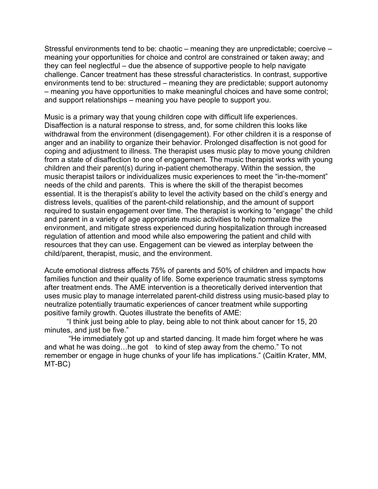Stressful environments tend to be: chaotic – meaning they are unpredictable; coercive – meaning your opportunities for choice and control are constrained or taken away; and they can feel neglectful – due the absence of supportive people to help navigate challenge. Cancer treatment has these stressful characteristics. In contrast, supportive environments tend to be: structured – meaning they are predictable; support autonomy – meaning you have opportunities to make meaningful choices and have some control; and support relationships – meaning you have people to support you.

Music is a primary way that young children cope with difficult life experiences. Disaffection is a natural response to stress, and, for some children this looks like withdrawal from the environment (disengagement). For other children it is a response of anger and an inability to organize their behavior. Prolonged disaffection is not good for coping and adjustment to illness. The therapist uses music play to move young children from a state of disaffection to one of engagement. The music therapist works with young children and their parent(s) during in-patient chemotherapy. Within the session, the music therapist tailors or individualizes music experiences to meet the "in-the-moment" needs of the child and parents. This is where the skill of the therapist becomes essential. It is the therapist's ability to level the activity based on the child's energy and distress levels, qualities of the parent-child relationship, and the amount of support required to sustain engagement over time. The therapist is working to "engage" the child and parent in a variety of age appropriate music activities to help normalize the environment, and mitigate stress experienced during hospitalization through increased regulation of attention and mood while also empowering the patient and child with resources that they can use. Engagement can be viewed as interplay between the child/parent, therapist, music, and the environment.

Acute emotional distress affects 75% of parents and 50% of children and impacts how families function and their quality of life. Some experience traumatic stress symptoms after treatment ends. The AME intervention is a theoretically derived intervention that uses music play to manage interrelated parent-child distress using music-based play to neutralize potentially traumatic experiences of cancer treatment while supporting positive family growth. Quotes illustrate the benefits of AME:

 "I think just being able to play, being able to not think about cancer for 15, 20 minutes, and just be five."

 "He immediately got up and started dancing. It made him forget where he was and what he was doing…he got to kind of step away from the chemo." To not remember or engage in huge chunks of your life has implications." (Caitlin Krater, MM, MT-BC)